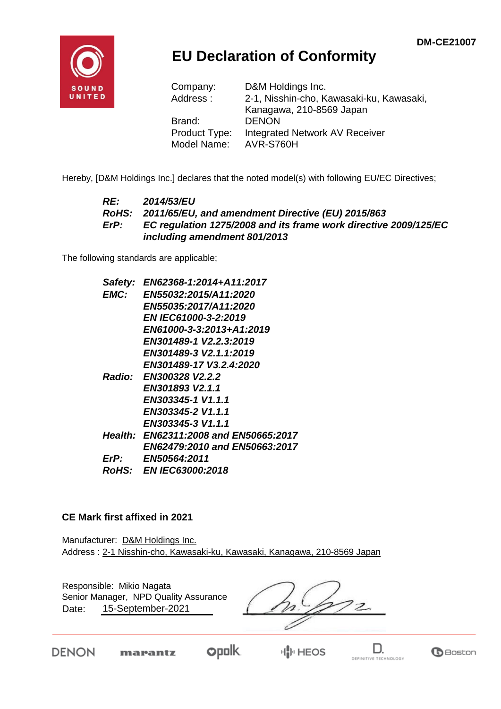

## **EU Declaration of Conformity**

| Company:      | D&M Holdings Inc.                        |
|---------------|------------------------------------------|
| Address:      | 2-1, Nisshin-cho, Kawasaki-ku, Kawasaki, |
|               | Kanagawa, 210-8569 Japan                 |
| Brand:        | <b>DENON</b>                             |
| Product Type: | Integrated Network AV Receiver           |
| Model Name:   | AVR-S760H                                |

Hereby, [D&M Holdings Inc.] declares that the noted model(s) with following EU/EC Directives;

#### *RE: 2014/53/EU RoHS: 2011/65/EU, and amendment Directive (EU) 2015/863 ErP: EC regulation 1275/2008 and its frame work directive 2009/125/EC including amendment 801/2013*

The following standards are applicable;

| Safety:     | EN62368-1:2014+A11:2017               |
|-------------|---------------------------------------|
| <b>EMC:</b> | <b>EN55032:2015/A11:2020</b>          |
|             | EN55035:2017/A11:2020                 |
|             | <b>EN IEC61000-3-2:2019</b>           |
|             | EN61000-3-3:2013+A1:2019              |
|             | EN301489-1 V2.2.3:2019                |
|             | EN301489-3 V2.1.1:2019                |
|             | EN301489-17 V3.2.4:2020               |
|             | Radio: EN300328 V2.2.2                |
|             | EN301893 V2.1.1                       |
|             | EN303345-1 V1.1.1                     |
|             | EN303345-2 V1.1.1                     |
|             | EN303345-3 V1.1.1                     |
|             | Health: EN62311:2008 and EN50665:2017 |
|             | EN62479:2010 and EN50663:2017         |
| ErP:        | <b>EN50564:2011</b>                   |
|             | <i>RoHS: EN IEC63000:2018</i>         |

#### **CE Mark first affixed in 2021**

Manufacturer: D&M Holdings Inc. Address : 2-1 Nisshin-cho, Kawasaki-ku, Kawasaki, Kanagawa, 210-8569 Japan

Responsible: Mikio Nagata Senior Manager, NPD Quality Assurance $z$ 15-September-2021 Date:

**DENON** 

marantz